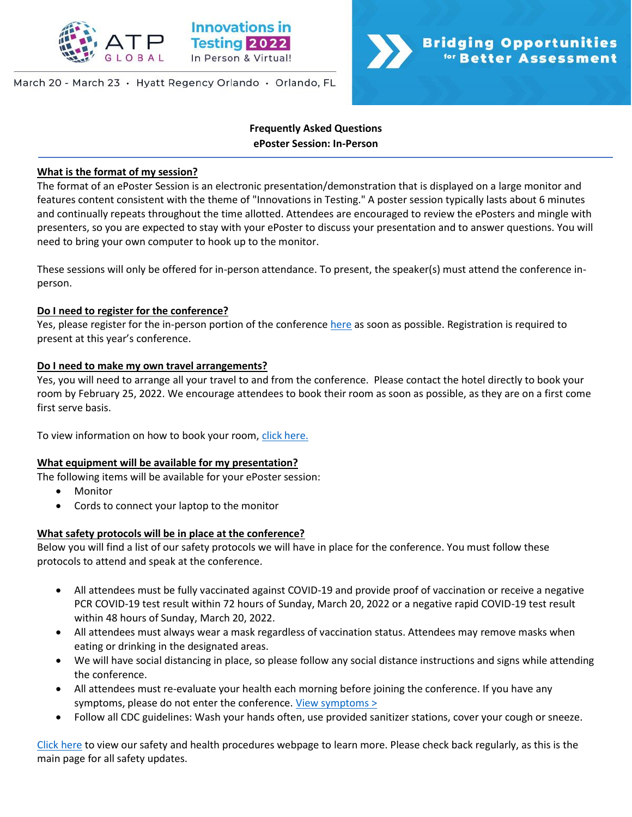

March 20 - March 23 · Hyatt Regency Orlando · Orlando, FL

# **Bridging Opportunities <sup>for</sup> Better Assessment**

# **Frequently Asked Questions ePoster Session: In-Person**

## **What is the format of my session?**

The format of an ePoster Session is an electronic presentation/demonstration that is displayed on a large monitor and features content consistent with the theme of "Innovations in Testing." A poster session typically lasts about 6 minutes and continually repeats throughout the time allotted. Attendees are encouraged to review the ePosters and mingle with presenters, so you are expected to stay with your ePoster to discuss your presentation and to answer questions. You will need to bring your own computer to hook up to the monitor.

These sessions will only be offered for in-person attendance. To present, the speaker(s) must attend the conference inperson.

## **Do I need to register for the conference?**

Yes, please register for the in-person portion of the conference [here](https://na.eventscloud.com/ereg/index.php?eventid=639135&) as soon as possible. Registration is required to present at this year's conference.

# **Do I need to make my own travel arrangements?**

Yes, you will need to arrange all your travel to and from the conference. Please contact the hotel directly to book your room by February 25, 2022. We encourage attendees to book their room as soon as possible, as they are on a first come first serve basis.

To view information on how to book your room, [click here.](http://www.innovationsintesting.org/venue.aspx)

## **What equipment will be available for my presentation?**

The following items will be available for your ePoster session:

- **Monitor**
- Cords to connect your laptop to the monitor

# **What safety protocols will be in place at the conference?**

Below you will find a list of our safety protocols we will have in place for the conference. You must follow these protocols to attend and speak at the conference.

- All attendees must be fully vaccinated against COVID-19 and provide proof of vaccination or receive a negative PCR COVID-19 test result within 72 hours of Sunday, March 20, 2022 or a negative rapid COVID-19 test result within 48 hours of Sunday, March 20, 2022.
- All attendees must always wear a mask regardless of vaccination status. Attendees may remove masks when eating or drinking in the designated areas.
- We will have social distancing in place, so please follow any social distance instructions and signs while attending the conference.
- All attendees must re-evaluate your health each morning before joining the conference. If you have any symptoms, please do not enter the conference. [View symptoms >](https://www.cdc.gov/coronavirus/2019-ncov/symptoms-testing/symptoms.html)
- Follow all CDC guidelines: Wash your hands often, use provided sanitizer stations, cover your cough or sneeze.

[Click here](http://www.innovationsintesting.org/health-safety-procedures.aspx) to view our safety and health procedures webpage to learn more. Please check back regularly, as this is the main page for all safety updates.